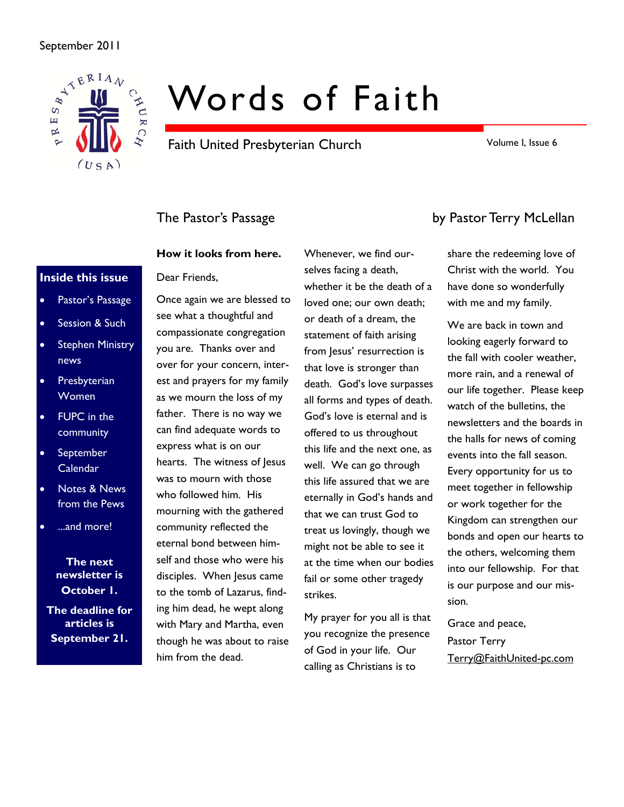

# Words of Faith

Faith United Presbyterian Church

Volume I, Issue 6

#### **Inside this issue**

- Pastor's Passage
- Session & Such
- **Stephen Ministry** news
- Presbyterian **Women**
- FUPC in the community
- **September** Calendar
- Notes & News from the Pews
- ...and more!

#### **The next newsletter is October 1.**

**The deadline for articles is September 21.** 

# **How it looks from here.**

#### Dear Friends,

Once again we are blessed to see what a thoughtful and compassionate congregation you are. Thanks over and over for your concern, interest and prayers for my family as we mourn the loss of my father. There is no way we can find adequate words to express what is on our hearts. The witness of Jesus was to mourn with those who followed him. His mourning with the gathered community reflected the eternal bond between himself and those who were his disciples. When Jesus came to the tomb of Lazarus, finding him dead, he wept along with Mary and Martha, even though he was about to raise him from the dead.

Whenever, we find ourselves facing a death, whether it be the death of a loved one; our own death; or death of a dream, the statement of faith arising from Jesus' resurrection is that love is stronger than death. God's love surpasses all forms and types of death. God's love is eternal and is offered to us throughout this life and the next one, as well. We can go through this life assured that we are eternally in God's hands and that we can trust God to treat us lovingly, though we might not be able to see it at the time when our bodies fail or some other tragedy strikes.

My prayer for you all is that you recognize the presence of God in your life. Our calling as Christians is to

# The Pastor's Passage by Pastor Terry McLellan

share the redeeming love of Christ with the world. You have done so wonderfully with me and my family.

We are back in town and looking eagerly forward to the fall with cooler weather, more rain, and a renewal of our life together. Please keep watch of the bulletins, the newsletters and the boards in the halls for news of coming events into the fall season. Every opportunity for us to meet together in fellowship or work together for the Kingdom can strengthen our bonds and open our hearts to the others, welcoming them into our fellowship. For that is our purpose and our mission.

Grace and peace, Pastor Terry Terry@FaithUnited-pc.com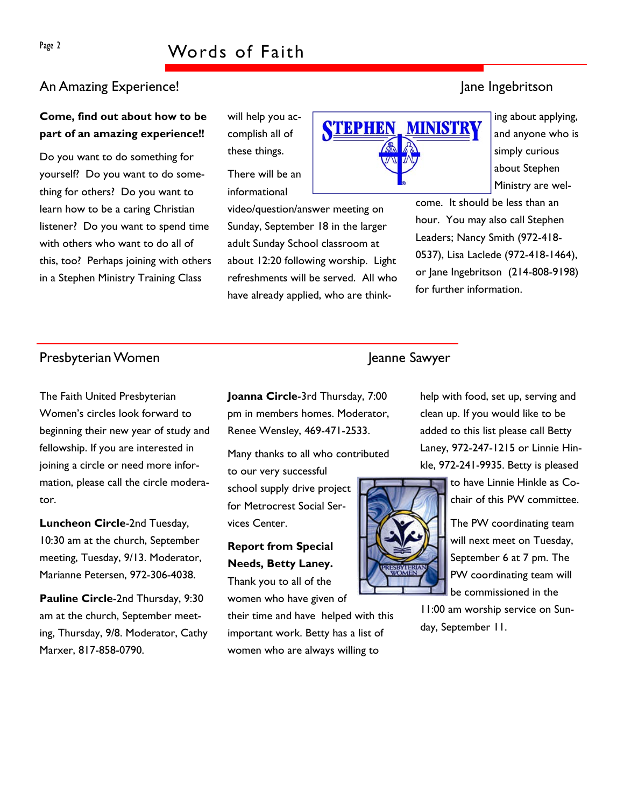# Page 2 Words of Faith

## An Amazing Experience! Jane Ingebritson

### **Come, find out about how to be part of an amazing experience!!**

Do you want to do something for yourself? Do you want to do something for others? Do you want to learn how to be a caring Christian listener? Do you want to spend time with others who want to do all of this, too? Perhaps joining with others in a Stephen Ministry Training Class

will help you accomplish all of these things.

There will be an informational

video/question/answer meeting on Sunday, September 18 in the larger adult Sunday School classroom at about 12:20 following worship. Light refreshments will be served. All who have already applied, who are think-

ing about applying, and anyone who is simply curious about Stephen Ministry are wel-

come. It should be less than an hour. You may also call Stephen Leaders; Nancy Smith (972-418- 0537), Lisa Laclede (972-418-1464), or Jane Ingebritson (214-808-9198) for further information.

### Presbyterian Women Jeanne Sawyer

The Faith United Presbyterian Women's circles look forward to beginning their new year of study and fellowship. If you are interested in joining a circle or need more information, please call the circle moderator.

**Luncheon Circle**-2nd Tuesday, 10:30 am at the church, September meeting, Tuesday, 9/13. Moderator, Marianne Petersen, 972-306-4038.

**Pauline Circle**-2nd Thursday, 9:30 am at the church, September meeting, Thursday, 9/8. Moderator, Cathy Marxer, 817-858-0790.

**STEPHEN MINISTRY** 

**Joanna Circle**-3rd Thursday, 7:00 pm in members homes. Moderator, Renee Wensley, 469-471-2533.

Many thanks to all who contributed

to our very successful school supply drive project for Metrocrest Social Services Center.

### **Report from Special Needs, Betty Laney.**  Thank you to all of the

women who have given of

their time and have helped with this important work. Betty has a list of women who are always willing to

help with food, set up, serving and clean up. If you would like to be added to this list please call Betty Laney, 972-247-1215 or Linnie Hinkle, 972-241-9935. Betty is pleased



to have Linnie Hinkle as Cochair of this PW committee.

The PW coordinating team will next meet on Tuesday, September 6 at 7 pm. The PW coordinating team will be commissioned in the

11:00 am worship service on Sunday, September 11.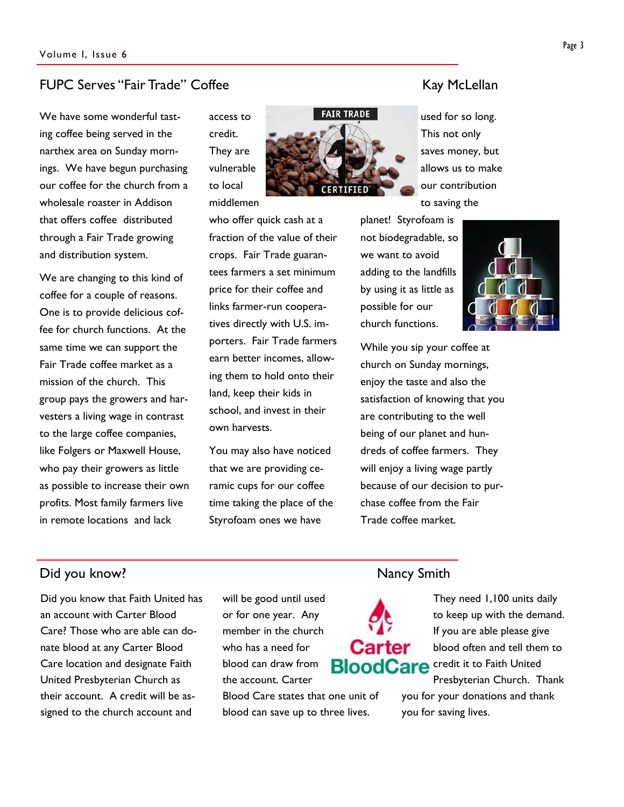### FUPC Serves "Fair Trade" Coffee Kay McLellan

We have some wonderful tasting coffee being served in the narthex area on Sunday mornings. We have begun purchasing our coffee for the church from a wholesale roaster in Addison that offers coffee distributed through a Fair Trade growing and distribution system.

We are changing to this kind of coffee for a couple of reasons. One is to provide delicious coffee for church functions. At the same time we can support the Fair Trade coffee market as a mission of the church. This group pays the growers and harvesters a living wage in contrast to the large coffee companies, like Folgers or Maxwell House, who pay their growers as little as possible to increase their own profits. Most family farmers live in remote locations and lack

access to credit. They are vulnerable to local

middlemen

who offer quick cash at a fraction of the value of their crops. Fair Trade guarantees farmers a set minimum price for their coffee and links farmer-run cooperatives directly with U.S. importers. Fair Trade farmers earn better incomes, allowing them to hold onto their land, keep their kids in school, and invest in their own harvests.

You may also have noticed that we are providing ceramic cups for our coffee time taking the place of the Styrofoam ones we have

planet! Styrofoam is not biodegradable, so we want to avoid adding to the landfills by using it as little as possible for our church functions.

**FAIR TRADE** 

While you sip your coffee at church on Sunday mornings, enjoy the taste and also the satisfaction of knowing that you are contributing to the well being of our planet and hundreds of coffee farmers. They will enjoy a living wage partly because of our decision to purchase coffee from the Fair

Did you know that Faith United has an account with Carter Blood Care? Those who are able can donate blood at any Carter Blood Care location and designate Faith United Presbyterian Church as their account. A credit will be assigned to the church account and

will be good until used or for one year. Any member in the church who has a need for blood can draw from the account. Carter

Blood Care states that one unit of blood can save up to three lives.

# Did you know? Nancy Smith

Trade coffee market.

They need 1,100 units daily to keep up with the demand. If you are able please give Car blood often and tell them to credit it to Faith United **BloodCare** Presbyterian Church. Thank

you for your donations and thank you for saving lives.



used for so long. This not only saves money, but allows us to make our contribution to saving the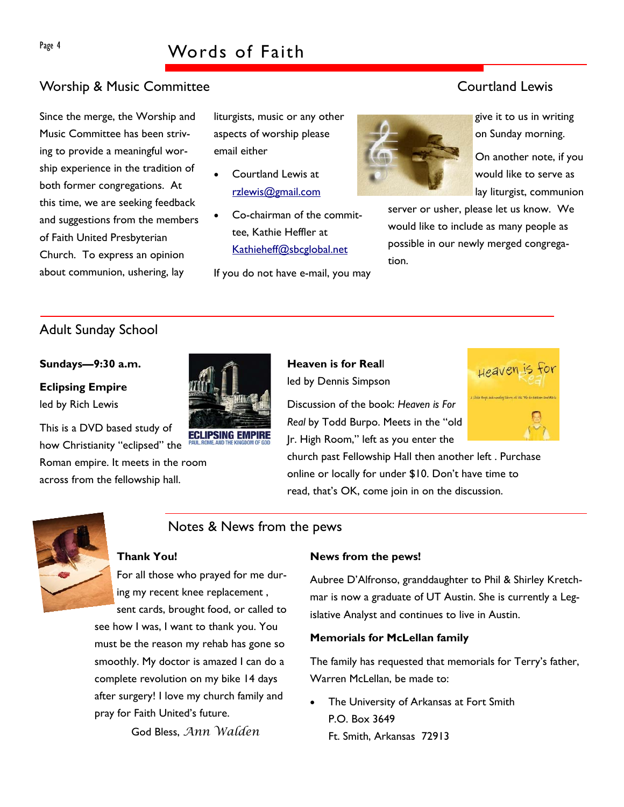# Page 4 Words of Faith

# Worship & Music Committee Courtland Lewis

Since the merge, the Worship and Music Committee has been striving to provide a meaningful worship experience in the tradition of both former congregations. At this time, we are seeking feedback and suggestions from the members of Faith United Presbyterian Church. To express an opinion about communion, ushering, lay

liturgists, music or any other aspects of worship please email either

- Courtland Lewis at rzlewis@gmail.com
- Co-chairman of the committee, Kathie Heffler at Kathieheff@sbcglobal.net

If you do not have e-mail, you may



give it to us in writing on Sunday morning.

On another note, if you would like to serve as lay liturgist, communion

server or usher, please let us know. We would like to include as many people as possible in our newly merged congregation.

# Adult Sunday School

#### **Sundays—9:30 a.m.**

#### **Eclipsing Empire** led by Rich Lewis

This is a DVD based study of how Christianity "eclipsed" the Roman empire. It meets in the room across from the fellowship hall.



### **Heaven is for Real**l led by Dennis Simpson

Discussion of the book: *Heaven is For Real* by Todd Burpo. Meets in the "old Jr. High Room," left as you enter the

Heaven Is

church past Fellowship Hall then another left . Purchase online or locally for under \$10. Don't have time to read, that's OK, come join in on the discussion.



### Notes & News from the pews

#### **Thank You!**

For all those who prayed for me during my recent knee replacement , sent cards, brought food, or called to

see how I was, I want to thank you. You must be the reason my rehab has gone so smoothly. My doctor is amazed I can do a complete revolution on my bike 14 days after surgery! I love my church family and pray for Faith United's future.

God Bless, *Ann Walden* 

#### **News from the pews!**

Aubree D'Alfronso, granddaughter to Phil & Shirley Kretchmar is now a graduate of UT Austin. She is currently a Legislative Analyst and continues to live in Austin.

#### **Memorials for McLellan family**

The family has requested that memorials for Terry's father, Warren McLellan, be made to:

The University of Arkansas at Fort Smith P.O. Box 3649 Ft. Smith, Arkansas 72913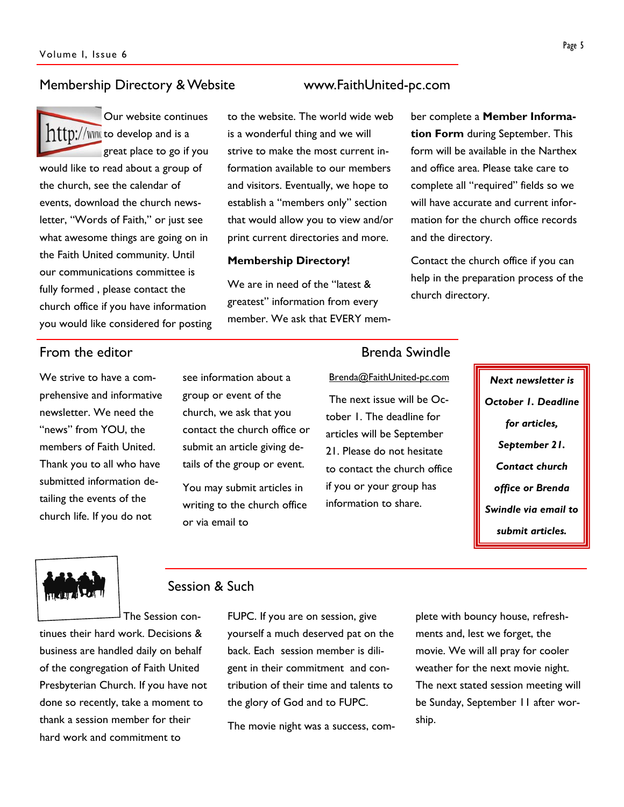#### Membership Directory & Website www.FaithUnited-pc.com

Our website continues  $\frac{nt}{t}$ ./www.to develop and is a great place to go if you

would like to read about a group of the church, see the calendar of events, download the church newsletter, "Words of Faith," or just see what awesome things are going on in the Faith United community. Until our communications committee is fully formed , please contact the church office if you have information you would like considered for posting to the website. The world wide web is a wonderful thing and we will strive to make the most current information available to our members and visitors. Eventually, we hope to establish a "members only" section that would allow you to view and/or print current directories and more.

#### **Membership Directory!**

We are in need of the "latest & greatest" information from every member. We ask that EVERY member complete a **Member Information Form** during September. This form will be available in the Narthex and office area. Please take care to complete all "required" fields so we will have accurate and current information for the church office records and the directory.

Contact the church office if you can help in the preparation process of the church directory.

### From the editor **Brenda** Swindle

We strive to have a comprehensive and informative newsletter. We need the "news" from YOU, the members of Faith United. Thank you to all who have submitted information detailing the events of the church life. If you do not

see information about a group or event of the church, we ask that you contact the church office or submit an article giving details of the group or event.

You may submit articles in writing to the church office or via email to

Brenda@FaithUnited-pc.com The next issue will be Oc-

tober 1. The deadline for articles will be September 21. Please do not hesitate to contact the church office if you or your group has information to share.

*Next newsletter is October 1. Deadline for articles, September 21. Contact church office or Brenda Swindle via email to submit articles.* 



### Session & Such

The Session con-

tinues their hard work. Decisions & business are handled daily on behalf of the congregation of Faith United Presbyterian Church. If you have not done so recently, take a moment to thank a session member for their hard work and commitment to

FUPC. If you are on session, give yourself a much deserved pat on the back. Each session member is diligent in their commitment and contribution of their time and talents to the glory of God and to FUPC.

The movie night was a success, com-

plete with bouncy house, refreshments and, lest we forget, the movie. We will all pray for cooler weather for the next movie night. The next stated session meeting will be Sunday, September 11 after worship.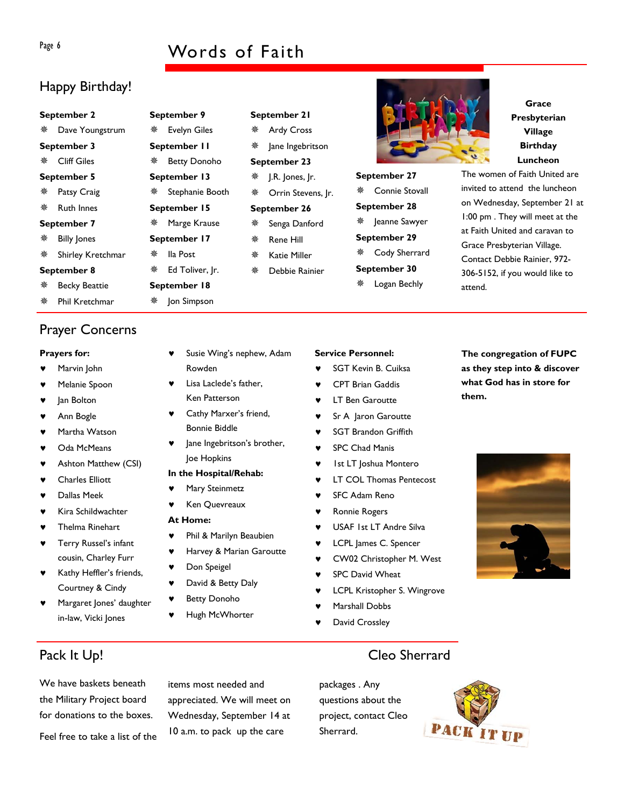# Page 6 Words of Faith

# Happy Birthday!

|             | September 2                        | September 9  |                     | September 21 |                    |              |                             |                                                            | Grace                        |  |
|-------------|------------------------------------|--------------|---------------------|--------------|--------------------|--------------|-----------------------------|------------------------------------------------------------|------------------------------|--|
|             |                                    |              |                     |              |                    |              |                             |                                                            | Presbyterian                 |  |
| 豢           | Dave Youngstrum                    | 榮            | <b>Evelyn Giles</b> | 秦            | <b>Ardy Cross</b>  |              |                             |                                                            | <b>Village</b>               |  |
| September 3 |                                    | September II |                     | 槃            | Jane Ingebritson   |              |                             |                                                            | <b>Birthday</b>              |  |
| 豢           | <b>Cliff Giles</b>                 |              | <b>Betty Donoho</b> |              | September 23       |              |                             |                                                            | Luncheon                     |  |
| September 5 |                                    | September 13 |                     | 豢            | J.R. Jones, Jr.    | September 27 |                             | The women of Faith United                                  |                              |  |
| 榮           | Patsy Craig                        |              | Stephanie Booth     | 豢            | Orrin Stevens, Ir. | 豢            | Connie Stovall              |                                                            | invited to attend the lunche |  |
| 豢           | <b>Ruth Innes</b>                  | September 15 |                     | September 26 |                    |              | September 28                | on Wednesday, September                                    |                              |  |
| September 7 |                                    | 秦            | Marge Krause        | 豢            | Senga Danford      | 榮            | Jeanne Sawyer               |                                                            | 1:00 pm. They will meet at   |  |
| 豢           | September 17<br><b>Billy Jones</b> |              | 豢                   | Rene Hill    | September 29       |              | at Faith United and caravan |                                                            |                              |  |
| 豢           | Shirley Kretchmar                  |              | lla Post            | 豢            | Katie Miller       | 豢            | Cody Sherrard               | Grace Presbyterian Village.<br>Contact Debbie Rainier, 97. |                              |  |
| September 8 |                                    | 豢            | Ed Toliver, Jr.     | 豢            | Debbie Rainier     |              | September 30                |                                                            | 306-5152, if you would like  |  |
| 豢           | <b>Becky Beattie</b>               | September 18 |                     |              |                    | 楽            | Logan Bechly                | attend.                                                    |                              |  |
| 豢           | <b>Phil Kretchmar</b>              | 豢            | Jon Simpson         |              |                    |              |                             |                                                            |                              |  |

### Prayer Concerns

#### **Prayers for:**

- Marvin John
- Melanie Spoon
- Jan Bolton
- Ann Bogle
- Martha Watson
- Oda McMeans
- Ashton Matthew (CSI)
- **Charles Elliott**
- Dallas Meek
- Kira Schildwachter
- Thelma Rinehart
- Terry Russel's infant cousin, Charley Furr
- Kathy Heffler's friends, Courtney & Cindy
- Margaret Jones' daughter in-law, Vicki Jones

#### Susie Wing's nephew, Adam Rowden

- Lisa Laclede's father, Ken Patterson
- ♥ Cathy Marxer's friend, Bonnie Biddle
- Jane Ingebritson's brother, Joe Hopkins

#### **In the Hospital/Rehab:**

- ♥ Mary Steinmetz
- Ken Quevreaux

#### **At Home:**

- Phil & Marilyn Beaubien
- Harvey & Marian Garoutte
- Don Speigel
- David & Betty Daly
- **Betty Donoho**
- ♥ Hugh McWhorter

#### **Service Personnel:**

- SGT Kevin B. Cuiksa
- **CPT Brian Gaddis**
- **LT Ben Garoutte**
- ♥ Sr A Jaron Garoutte
- ♥ SGT Brandon Griffith
- ♥ SPC Chad Manis
- **Ist LT Joshua Montero**
- ♥ LT COL Thomas Pentecost
- **SFC Adam Reno**
- Ronnie Rogers
- USAF 1st LT Andre Silva
- LCPL James C. Spencer
- CW02 Christopher M. West
- SPC David Wheat
- LCPL Kristopher S. Wingrove
- Marshall Dobbs
- David Crossley

# Pack It Up! Cleo Sherrard

packages . Any questions about the project, contact Cleo Sherrard.



1 Charles

lage. r, 972like to

**The congregation of FUPC as they step into & discover what God has in store for them.** 







Feel free to take a list of the

We have baskets beneath the Military Project board for donations to the boxes. 10 a.m. to pack up the care

items most needed and appreciated. We will meet on Wednesday, September 14 at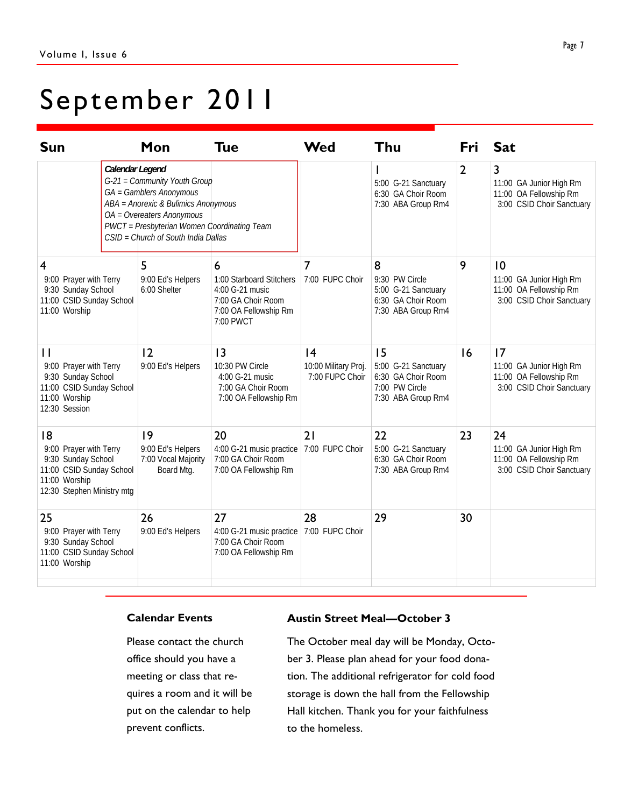# September 2011

| <b>Sun</b>                                                                                                                    | Mon                                                                                                                                                                                                               | <b>Tue</b>                                                                                                   | <b>Wed</b>                                   | Thu                                                                                     | Fri            | <b>Sat</b>                                                                           |
|-------------------------------------------------------------------------------------------------------------------------------|-------------------------------------------------------------------------------------------------------------------------------------------------------------------------------------------------------------------|--------------------------------------------------------------------------------------------------------------|----------------------------------------------|-----------------------------------------------------------------------------------------|----------------|--------------------------------------------------------------------------------------|
| Calendar Legend                                                                                                               | G-21 = Community Youth Group<br>GA = Gamblers Anonymous<br>ABA = Anorexic & Bulimics Anonymous<br>OA = Overeaters Anonymous<br>PWCT = Presbyterian Women Coordinating Team<br>CSID = Church of South India Dallas |                                                                                                              |                                              | 5:00 G-21 Sanctuary<br>6:30 GA Choir Room<br>7:30 ABA Group Rm4                         | $\overline{2}$ | 3<br>11:00 GA Junior High Rm<br>11:00 OA Fellowship Rm<br>3:00 CSID Choir Sanctuary  |
| 4<br>9:00 Prayer with Terry<br>9:30 Sunday School<br>11:00 CSID Sunday School<br>11:00 Worship                                | 5<br>9:00 Ed's Helpers<br>6:00 Shelter                                                                                                                                                                            | 6<br>1:00 Starboard Stitchers<br>4:00 G-21 music<br>7:00 GA Choir Room<br>7:00 OA Fellowship Rm<br>7:00 PWCT | 7<br>7:00 FUPC Choir                         | 8<br>9:30 PW Circle<br>5:00 G-21 Sanctuary<br>6:30 GA Choir Room<br>7:30 ABA Group Rm4  | 9              | 10<br>11:00 GA Junior High Rm<br>11:00 OA Fellowship Rm<br>3:00 CSID Choir Sanctuary |
| $\mathbf{H}$<br>9:00 Prayer with Terry<br>9:30 Sunday School<br>11:00 CSID Sunday School<br>11:00 Worship<br>12:30 Session    | 12<br>9:00 Ed's Helpers                                                                                                                                                                                           | 13<br>10:30 PW Circle<br>4:00 G-21 music<br>7:00 GA Choir Room<br>7:00 OA Fellowship Rm                      | 4<br>10:00 Military Proj.<br>7:00 FUPC Choir | 15<br>5:00 G-21 Sanctuary<br>6:30 GA Choir Room<br>7:00 PW Circle<br>7:30 ABA Group Rm4 | 16             | 17<br>11:00 GA Junior High Rm<br>11:00 OA Fellowship Rm<br>3:00 CSID Choir Sanctuary |
| 18<br>9:00 Prayer with Terry<br>9:30 Sunday School<br>11:00 CSID Sunday School<br>11:00 Worship<br>12:30 Stephen Ministry mtg | 9<br>9:00 Ed's Helpers<br>7:00 Vocal Majority<br>Board Mtg.                                                                                                                                                       | 20<br>4:00 G-21 music practice 7:00 FUPC Choir<br>7:00 GA Choir Room<br>7:00 OA Fellowship Rm                | 21                                           | 22<br>5:00 G-21 Sanctuary<br>6:30 GA Choir Room<br>7:30 ABA Group Rm4                   | 23             | 24<br>11:00 GA Junior High Rm<br>11:00 OA Fellowship Rm<br>3:00 CSID Choir Sanctuary |
| 25<br>9:00 Prayer with Terry<br>9:30 Sunday School<br>11:00 CSID Sunday School<br>11:00 Worship                               | 26<br>9:00 Ed's Helpers                                                                                                                                                                                           | 27<br>4:00 G-21 music practice<br>7:00 GA Choir Room<br>7:00 OA Fellowship Rm                                | 28<br>7:00 FUPC Choir                        | 29                                                                                      | 30             |                                                                                      |

#### **Calendar Events**

Please contact the church office should you have a meeting or class that requires a room and it will be put on the calendar to help prevent conflicts.

#### **Austin Street Meal—October 3**

The October meal day will be Monday, October 3. Please plan ahead for your food donation. The additional refrigerator for cold food storage is down the hall from the Fellowship Hall kitchen. Thank you for your faithfulness to the homeless.